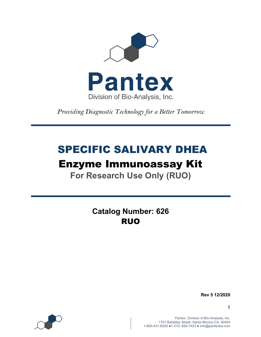

*Providing Diagnostic Technology for a Better Tomorrow* 

# SPECIFIC SALIVARY DHEA

# Enzyme Immunoassay Kit

**For Research Use Only (RUO)**

**Catalog Number: 626** RUO

**Rev 5 12/2020**

1

Pantex, Division of Bio-Analysis, Inc. 1701 Berkeley Street, Santa Monica CA, 90404 1-800-421-6529 ●1-310- 828-7423 ● info@pantexba.com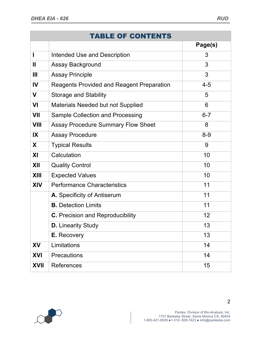|                         | <b>TABLE OF CONTENTS</b>                         |         |
|-------------------------|--------------------------------------------------|---------|
|                         |                                                  | Page(s) |
|                         | <b>Intended Use and Description</b>              | 3       |
| $\mathbf{I}$            | Assay Background                                 | 3       |
| Ш                       | <b>Assay Principle</b>                           | 3       |
| IV                      | <b>Reagents Provided and Reagent Preparation</b> | $4 - 5$ |
| $\mathbf v$             | <b>Storage and Stability</b>                     | 5       |
| VI                      | Materials Needed but not Supplied                | 6       |
| VII                     | Sample Collection and Processing                 | $6 - 7$ |
| <b>VIII</b>             | <b>Assay Procedure Summary Flow Sheet</b>        | 8       |
| $\overline{\mathbf{X}}$ | <b>Assay Procedure</b>                           | $8 - 9$ |
| X                       | <b>Typical Results</b>                           | 9       |
| XI                      | Calculation                                      | 10      |
| XII                     | <b>Quality Control</b>                           | 10      |
| <b>XIII</b>             | <b>Expected Values</b>                           | 10      |
| <b>XIV</b>              | <b>Performance Characteristics</b>               | 11      |
|                         | A. Specificity of Antiserum                      | 11      |
|                         | <b>B.</b> Detection Limits                       | 11      |
|                         | <b>C.</b> Precision and Reproducibility          | 12      |
|                         | <b>D.</b> Linearity Study                        | 13      |
|                         | E. Recovery                                      | 13      |
| XV                      | Limitations                                      | 14      |
| <b>XVI</b>              | <b>Precautions</b>                               | 14      |
| <b>XVII</b>             | <b>References</b>                                | 15      |

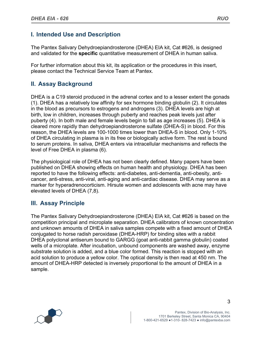The Pantex Salivary Dehydroepiandrosterone (DHEA) EIA kit, Cat #626, is designed and validated for the **specific** quantitative measurement of DHEA in human saliva.

For further information about this kit, its application or the procedures in this insert, please contact the Technical Service Team at Pantex.

# **II. Assay Background**

DHEA is a C19 steroid produced in the adrenal cortex and to a lesser extent the gonads (1). DHEA has a relatively low affinity for sex hormone binding globulin (2). It circulates in the blood as precursors to estrogens and androgens (3). DHEA levels are high at birth, low in children, increases through puberty and reaches peak levels just after puberty (4). In both male and female levels begin to fall as age increases (5). DHEA is cleared more rapidly than dehydroepiandrosterone sulfate (DHEA-S) in blood. For this reason, the DHEA levels are 100-1000 times lower than DHEA-S in blood. Only 1-10% of DHEA circulating in plasma is in its free or biologically active form. The rest is bound to serum proteins. In saliva, DHEA enters via intracellular mechanisms and reflects the level of Free DHEA in plasma (6).

The physiological role of DHEA has not been clearly defined. Many papers have been published on DHEA showing effects on human health and physiology. DHEA has been reported to have the following effects: anti-diabetes, anti-dementia, anti-obesity, anticancer, anti-stress, anti-viral, anti-aging and anti-cardiac disease. DHEA may serve as a marker for hyperadrenocorticism. Hirsute women and adolescents with acne may have elevated levels of DHEA (7,8).

# **III. Assay Principle**

The Pantex Salivary Dehydroepiandrosterone (DHEA) EIA kit, Cat #626 is based on the competition principal and microplate separation. DHEA calibrators of known concentration and unknown amounts of DHEA in saliva samples compete with a fixed amount of DHEA conjugated to horse radish peroxidase (DHEA-HRP) for binding sites with a rabbit DHEA polyclonal antiserum bound to GARGG (goat anti-rabbit gamma globulin) coated wells of a microplate. After incubation, unbound components are washed away, enzyme substrate solution is added, and a blue color formed. This reaction is stopped with an acid solution to produce a yellow color. The optical density is then read at 450 nm. The amount of DHEA-HRP detected is inversely proportional to the amount of DHEA in a sample.

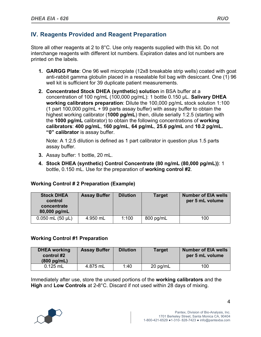# **IV. Reagents Provided and Reagent Preparation**

Store all other reagents at 2 to 8°C. Use only reagents supplied with this kit. Do not interchange reagents with different lot numbers. Expiration dates and lot numbers are printed on the labels.

- **1. GARGG Plate**: One 96 well microplate (12x8 breakable strip wells) coated with goat anti-rabbit gamma globulin placed in a resealable foil bag with desiccant. One (1) 96 well kit is sufficient for 39 duplicate patient measurements.
- **2. Concentrated Stock DHEA (synthetic) solution** in BSA buffer at a concentration of 100 ng/mL (100,000 pg/mL): 1 bottle 0.150 µL. **Salivary DHEA working calibrators preparation**: Dilute the 100,000 pg/mL stock solution 1:100 (1 part 100,000 pg/mL + 99 parts assay buffer) with assay buffer to obtain the highest working calibrator (**1000 pg/mL**) then, dilute serially 1:2.5 (starting with the **1000 pg/mL** calibrator) to obtain the following concentrations of **working calibrators**: **400 pg/mL**, **160 pg/mL**, **64 pg/mL**, **25.6 pg/mL** and **10.2 pg/mL. "0" calibrator** is assay buffer.

Note: A 1:2.5 dilution is defined as 1 part calibrator in question plus 1.5 parts assay buffer.

- **3.** Assay buffer: 1 bottle, 20 mL.
- **4. Stock DHEA (synthetic) Control Concentrate (80 ng/mL (80,000 pg/mL))**: 1 bottle, 0.150 mL. Use for the preparation of **working control #2**.

| <b>Stock DHEA</b><br>control<br>concentrate<br>80,000 pg/mL | <b>Assay Buffer</b> | <b>Dilution</b> | <b>Target</b> | <b>Number of EIA wells</b><br>per 5 mL volume |
|-------------------------------------------------------------|---------------------|-----------------|---------------|-----------------------------------------------|
| $0.050$ mL $(50 \mu L)$                                     | 4.950 mL            | 1:100           | 800 pg/mL     | 100                                           |

### **Working Control # 2 Preparation (Example)**

### **Working Control #1 Preparation**

| <b>DHEA</b> working<br>control #2<br>$(800 \text{ pg/mL})$ | <b>Assay Buffer</b> | <b>Dilution</b> | <b>Target</b> | <b>Number of EIA wells</b><br>per 5 mL volume |
|------------------------------------------------------------|---------------------|-----------------|---------------|-----------------------------------------------|
| $0.125$ mL                                                 | 4.875 mL            | 1:40            | 20 pg/mL      | 100                                           |

Immediately after use, store the unused portions of the **working calibrators** and the **High** and **Low Controls** at 2**-**8°C. Discard if not used within 28 days of mixing.

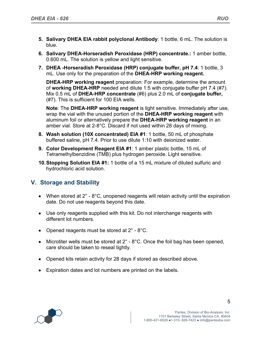- **5. Salivary DHEA EIA rabbit polyclonal Antibody**: 1 bottle, 6 mL. The solution is blue.
- **6. Salivary DHEA-Horseradish Peroxidase (HRP) concentrate.:** 1 amber bottle, 0.600 mL. The solution is yellow and light sensitive.
- **7. DHEA -Horseradish Peroxidase (HRP) conjugate buffer, pH 7.4**: 1 bottle, 3 mL. Use only for the preparation of the **DHEA-HRP working reagent.**

**DHEA-HRP working reagent** preparation: For example, determine the amount of **working DHEA-HRP** needed and dilute 1:5 with conjugate buffer pH 7.4 (#7). Mix 0.5 mL of **DHEA-HRP concentrate** (#6) plus 2.0 mL of **conjugate buffer,**  (#7). This is sufficient for 100 EIA wells.

**Note**: The **DHEA-HRP working reagent** is light sensitive. Immediately after use, wrap the vial with the unused portion of the **DHEA-HRP working reagent** with aluminum foil or alternatively prepare the **DHEA-HRP working reagent** in an amber vial. Store at 2-8°C. Discard if not used within 28 days of mixing.

- **8. Wash solution (10X concentrated) EIA #1**: 1 bottle, 50 mL of phosphate buffered saline, pH 7.4. Prior to use dilute 1:10 with deionized water.
- **9. Color Development Reagent EIA #1**: 1 amber plastic bottle, 15 mL of Tetramethylbenzidine (TMB) plus hydrogen peroxide. Light sensitive.
- **10.Stopping Solution EIA #1:** 1 bottle of a 15 mL mixture of diluted sulfuric and hydrochloric acid solution.

# **V. Storage and Stability**

- When stored at  $2^\circ$   $8^\circ$ C, unopened reagents will retain activity until the expiration date. Do not use reagents beyond this date.
- Use only reagents supplied with this kit. Do not interchange reagents with different lot numbers.
- Opened reagents must be stored at  $2^{\circ}$  8°C.
- Microtiter wells must be stored at  $2^\circ$   $8^\circ$ C. Once the foil bag has been opened, care should be taken to reseal tightly.
- Opened kits retain activity for 28 days if stored as described above.
- Expiration dates and lot numbers are printed on the labels.

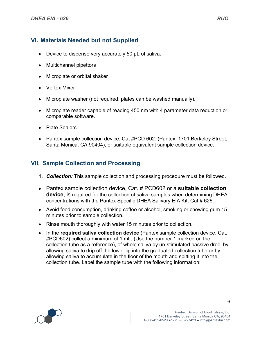# **VI. Materials Needed but not Supplied**

- Device to dispense very accurately 50 µL of saliva.
- Multichannel pipettors
- Microplate or orbital shaker
- Vortex Mixer
- Microplate washer (not required, plates can be washed manually).
- Microplate reader capable of reading 450 nm with 4 parameter data reduction or comparable software.
- Plate Sealers
- Pantex sample collection device, Cat #PCD 602. (Pantex, 1701 Berkeley Street, Santa Monica, CA 90404), or suitable equivalent sample collection device.

## **VII. Sample Collection and Processing**

- **1.** *Collection:* This sample collection and processing procedure must be followed.
- Pantex sample collection device, Cat. # PCD602 or a **suitable collection device**, is required for the collection of saliva samples when determining DHEA concentrations with the Pantex Specific DHEA Salivary EIA Kit, Cat # 626.
- Avoid food consumption, drinking coffee or alcohol, smoking or chewing gum 15 minutes prior to sample collection.
- Rinse mouth thoroughly with water 15 minutes prior to collection.
- In the **required saliva collection device** (Pantex sample collection device, Cat. #PCD602) collect a minimum of 1 mL, (Use the number 1 marked on the collection tube as a reference), of whole saliva by un-stimulated passive drool by allowing saliva to drip off the lower lip into the graduated collection tube or by allowing saliva to accumulate in the floor of the mouth and spitting it into the collection tube. Label the sample tube with the following information:

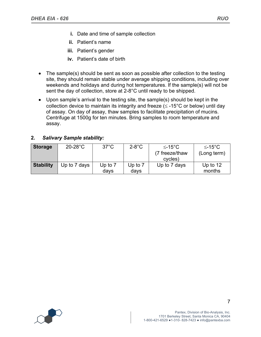- **i.** Date and time of sample collection
- **ii.** Patient's name
- **iii.** Patient's gender
- **iv.** Patient's date of birth
- The sample(s) should be sent as soon as possible after collection to the testing site, they should remain stable under average shipping conditions, including over weekends and holidays and during hot temperatures. If the sample(s) will not be sent the day of collection, store at 2-8°C until ready to be shipped.
- Upon sample's arrival to the testing site, the sample(s) should be kept in the collection device to maintain its integrity and freeze ( $\leq$  -15°C or below) until day of assay. On day of assay, thaw samples to facilitate precipitation of mucins. Centrifuge at 1500g for ten minutes. Bring samples to room temperature and assay.

### **2.** *Salivary Sample stability:*

| <b>Storage</b>   | $20-28$ °C   | $37^{\circ}$ C | $2-8$ °C  | $≤-15°C$       | $≤-15°C$    |
|------------------|--------------|----------------|-----------|----------------|-------------|
|                  |              |                |           | (7 freeze/thaw | (Long term) |
|                  |              |                |           | cycles)        |             |
| <b>Stability</b> | Up to 7 days | Up to $7$      | Up to $7$ | Up to 7 days   | Up to $12$  |
|                  |              | days           | days      |                | months      |

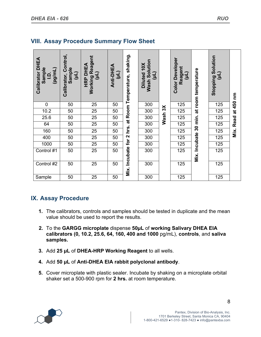| <b>DHEA</b><br>Sample<br>(luu/bd)<br>Calibrator<br>$\overline{6}$ | Calibrator, Control,<br>Sample<br>(11) | <b>Working Reagent</b><br><b>DHEA</b><br>(11)<br>HRP | Anti-DHEA<br>(11) | Mix. Incubate for 2 hrs. at Room Temperature, shaking. | <b>Wash Solution</b><br>Diluted 10X<br>(11) |                     | <b>Color Developer</b><br>Reagent<br>(11) | Mix. Incubate 30 min. at room temperature | Solution<br>(JIN)<br><b>Stopping</b> | Read at 450 nm |
|-------------------------------------------------------------------|----------------------------------------|------------------------------------------------------|-------------------|--------------------------------------------------------|---------------------------------------------|---------------------|-------------------------------------------|-------------------------------------------|--------------------------------------|----------------|
| $\pmb{0}$                                                         | 50                                     | 25                                                   | 50                |                                                        | 300                                         |                     | 125                                       |                                           | 125                                  |                |
| 10.2                                                              | 50                                     | 25                                                   | 50                |                                                        | 300                                         |                     | 125                                       |                                           | 125                                  |                |
| 25.6                                                              | 50                                     | 25                                                   | 50                |                                                        | 300                                         | Wash <sub>3</sub> X | 125                                       |                                           | 125                                  |                |
| 64                                                                | 50                                     | 25                                                   | 50                |                                                        | 300                                         |                     | 125                                       |                                           | 125                                  |                |
| 160                                                               | 50                                     | 25                                                   | $\overline{50}$   |                                                        | 300                                         |                     | 125                                       |                                           | 125                                  | Mix.           |
| 400                                                               | 50                                     | 25                                                   | 50                |                                                        | 300                                         |                     | 125                                       |                                           | 125                                  |                |
| 1000                                                              | 50                                     | $\overline{25}$                                      | $\overline{50}$   |                                                        | 300                                         |                     | 125                                       |                                           | 125                                  |                |
| Control #1                                                        | 50                                     | $\overline{25}$                                      | 50                |                                                        | 300                                         |                     | 125                                       |                                           | 125                                  |                |
| Control #2                                                        | 50                                     | 25                                                   | 50                |                                                        | 300                                         |                     | 125                                       |                                           | 125                                  |                |
| Sample                                                            | 50                                     | 25                                                   | 50                |                                                        | 300                                         |                     | 125                                       |                                           | 125                                  |                |

## **VIII. Assay Procedure Summary Flow Sheet**

# **IX. Assay Procedure**

- **1.** The calibrators, controls and samples should be tested in duplicate and the mean value should be used to report the results.
- **2.** To the **GARGG microplate** dispense **50µL** of **working Salivary DHEA EIA calibrators (0, 10.2, 25.6, 64, 160, 400 and 1000** pg/mL), **controls**, and **saliva samples.**
- **3.** Add **25 µL** of **DHEA-HRP Working Reagent** to all wells.
- **4.** Add **50 µL** of **Anti-DHEA EIA rabbit polyclonal antibody**.
- **5.** Cover microplate with plastic sealer. Incubate by shaking on a microplate orbital shaker set a 500-900 rpm for **2 hrs.** at room temperature.

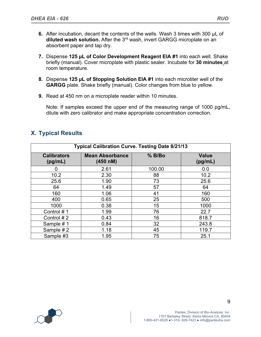- **6.** After incubation, decant the contents of the wells. Wash 3 times with 300 µL of **diluted wash solution.** After the 3rd wash, invert GARGG microplate on an absorbent paper and tap dry.
- **7.** Dispense **125 µL of Color Development Reagent EIA #1** into each well. Shake briefly (manual). Cover microplate with plastic sealer. Incubate for **30 minutes** at room temperature.
- **8.** Dispense **125 µL of Stopping Solution EIA #1** into each microtiter well of the **GARGG** plate. Shake briefly (manual). Color changes from blue to yellow.
- **9.** Read at 450 nm on a microplate reader within 10 minutes.

Note: If samples exceed the upper end of the measuring range of 1000 pg/mL, dilute with zero calibrator and make appropriate concentration correction.

| <b>Typical Calibration Curve. Testing Date 8/21/13</b> |                                    |          |                         |  |  |
|--------------------------------------------------------|------------------------------------|----------|-------------------------|--|--|
| <b>Calibrators</b><br>(pg/mL)                          | <b>Mean Absorbance</b><br>(450 nM) | $%$ B/Bo | <b>Value</b><br>(pg/mL) |  |  |
| O                                                      | 2.61                               | 100.00   | 0.0                     |  |  |
| 10.2                                                   | 2.30                               | 88       | 10.2                    |  |  |
| 25.6                                                   | 1.90                               | 73       | 25.6                    |  |  |
| 64                                                     | 1.49                               | 57       | 64                      |  |  |
| 160                                                    | 1.06                               | 41       | 160                     |  |  |
| 400                                                    | 0.65                               | 25       | 500                     |  |  |
| 1000                                                   | 0.38                               | 15       | 1000                    |  |  |
| Control #1                                             | 1.99                               | 76       | 22.7                    |  |  |
| Control #2                                             | 0.43                               | 16       | 818.7                   |  |  |
| Sample #1                                              | 0.84                               | 32       | 243.8                   |  |  |
| Sample #2                                              | 1.18                               | 45       | 119.7                   |  |  |
| Sample #3                                              | 1.95                               | 75       | 25.1                    |  |  |

## **X. Typical Results**

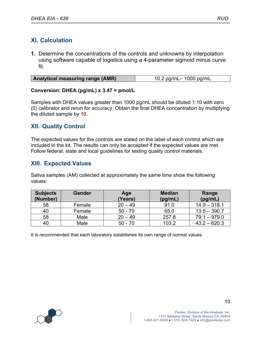## **XI. Calculation**

**1.** Determine the concentrations of the controls and unknowns by interpolation using software capable of logistics using a 4-parameter sigmoid minus curve fit.

| Analytical measuring range (AMR) | 10.2 pg/mL- 1000 pg/mL |
|----------------------------------|------------------------|
|----------------------------------|------------------------|

#### **Conversion: DHEA (pg/mL) x 3.47 = pmol/L**

Samples with DHEA values greater than 1000 pg/mL should be diluted 1:10 with zero (0) calibrator and rerun for accuracy. Obtain the final DHEA concentration by multiplying the diluted sample by 10.

## **XII. Quality Control**

The expected values for the controls are stated on the label of each control which are included in the kit. The results can only be accepted if the expected values are met. Follow federal, state and local guidelines for testing quality control materials.

## **XIII. Expected Values**

Saliva samples (AM) collected at approximately the same time show the following values:

| <b>Subjects</b><br>(Number) | <b>Gender</b> | Age<br>(Years) | <b>Median</b><br>(pg/mL) | Range<br>(pg/mL) |
|-----------------------------|---------------|----------------|--------------------------|------------------|
|                             |               |                |                          |                  |
| 58                          | Female        | $20 - 49$      | 91.0                     | $14.9 - 318.1$   |
| 40                          | Female        | $50 - 70$      | 65.0                     | $13.5 - 390.7$   |
| 58                          | Male          | $20 - 49$      | 257.8                    | $79.1 - 979.0$   |
| 40                          | Male          | $50 - 70$      | 103.2                    | $43.2 - 620.3$   |

It is recommended that each laboratory establishes its own range of normal values.

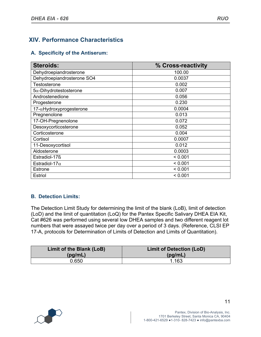# **XIV. Performance Characteristics**

#### **A. Specificity of the Antiserum:**

| <b>Steroids:</b>               | % Cross-reactivity |
|--------------------------------|--------------------|
| Dehydroepiandrosterone         | 100.00             |
| Dehydroepiandrosterone SO4     | 0.0037             |
| Testosterone                   | 0.002              |
| $5\alpha$ -Dihydrotestosterone | 0.007              |
| Androstenedione                | 0.056              |
| Progesterone                   | 0.230              |
| 17-aHydroxyprogesterone        | 0.0004             |
| Pregnenolone                   | 0.013              |
| 17-OH-Pregnenolone             | 0.072              |
| Desoxycorticosterone           | 0.052              |
| Corticosterone                 | 0.004              |
| Cortisol                       | 0.0007             |
| 11-Desoxycortisol              | 0.012              |
| Aldosterone                    | 0.0003             |
| Estradiol-17ß                  | < 0.001            |
| Estradiol-17 $\alpha$          | < 0.001            |
| <b>Estrone</b>                 | < 0.001            |
| Estriol                        | < 0.001            |

### **B. Detection Limits:**

The Detection Limit Study for determining the limit of the blank (LoB), limit of detection (LoD) and the limit of quantitation (LoQ) for the Pantex Specific Salivary DHEA EIA Kit, Cat #626 was performed using several low DHEA samples and two different reagent lot numbers that were assayed twice per day over a period of 3 days. (Reference, CLSI EP 17-A, protocols for Determination of Limits of Detection and Limits of Quantitation).

| Limit of the Blank (LoB) | <b>Limit of Detection (LoD)</b> |
|--------------------------|---------------------------------|
| (pg/mL)                  | (pg/mL)                         |
| 0.650                    | 1.163                           |

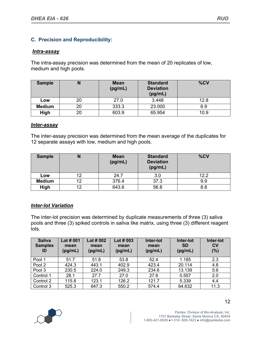## **C. Precision and Reproducibility:**

#### *Intra-assay*

The intra-assay precision was determined from the mean of 20 replicates of low, medium and high pools.

| <b>Sample</b> | N  | <b>Mean</b><br>(pg/mL) | <b>Standard</b><br><b>Deviation</b><br>(pg/mL) | %CV  |
|---------------|----|------------------------|------------------------------------------------|------|
| Low           | 20 | 27.0                   | 3.448                                          | 12.8 |
| <b>Medium</b> | 20 | 333.3                  | 23.000                                         | 6.9  |
| High          | 20 | 603.9                  | 65.954                                         | 10.9 |

#### *Inter-assay*

The inter-assay precision was determined from the mean average of the duplicates for 12 separate assays with low, medium and high pools.

| <b>Sample</b> |    | <b>Mean</b><br>(pg/mL) | <b>Standard</b><br><b>Deviation</b><br>(pg/mL) | %CV  |
|---------------|----|------------------------|------------------------------------------------|------|
| Low           | 12 | 24.7                   | 3.0                                            | 12.2 |
| <b>Medium</b> | 12 | 376.4                  | 37.3                                           | 9.9  |
| High          | 12 | 643.6                  | 56.8                                           | 8.8  |

#### *Inter-lot Variation*

The inter-lot precision was determined by duplicate measurements of three (3) saliva pools and three (3) spiked controls in saliva like matrix, using three (3) different reagent lots.

| <b>Saliva</b><br><b>Samples</b><br>ID | Lot $#001$<br>mean<br>(pg/mL) | Lot $\#002$<br>mean<br>(pg/mL) | Lot $\#$ 003<br>mean<br>(pg/mL) | Inter-lot<br>mean<br>(pg/mL) | Inter-lot<br><b>SD</b><br>(pg/mL) | Inter-lot<br><b>CV</b><br>(%) |
|---------------------------------------|-------------------------------|--------------------------------|---------------------------------|------------------------------|-----------------------------------|-------------------------------|
| Pool 1                                | 51.7                          | 51.8                           | 53.8                            | 52.4                         | 1.185                             | 2.3                           |
| Pool 2                                | 424.3                         | 443.1                          | 402.9                           | 423.4                        | 20.114                            | 4.8                           |
| Pool 3                                | 230.5                         | 224.0                          | 249.3                           | 234.6                        | 13.139                            | 5.6                           |
| Control 1                             | 28.1                          | 27.7                           | 27.0                            | 27.6                         | 0.557                             | 2.0                           |
| Control 2                             | 115.8                         | 123.1                          | 126.2                           | 121.7                        | 5.339                             | 4.4                           |
| Control 3                             | 525.3                         | 647.3                          | 550.2                           | 574.4                        | 64.632                            | 11.3                          |

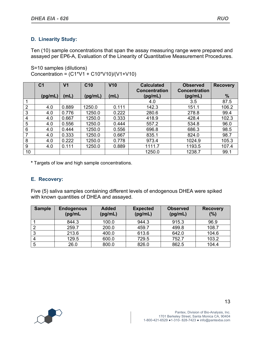## **D. Linearity Study:**

Ten (10) sample concentrations that span the assay measuring range were prepared and assayed per EP6-A, Evaluation of the Linearity of Quantitative Measurement Procedures.

S=10 samples (dilutions) Concentration = (C1\*V1 + C10\*V10)/(V1+V10)

|                 | C <sub>1</sub> | V <sub>1</sub> | C <sub>10</sub> | V <sub>10</sub> | <b>Calculated</b>    | <b>Observed</b>      | <b>Recovery</b> |
|-----------------|----------------|----------------|-----------------|-----------------|----------------------|----------------------|-----------------|
|                 |                |                |                 |                 | <b>Concentration</b> | <b>Concentration</b> |                 |
|                 | (pg/mL)        | (mL)           | (pg/mL)         | (mL)            | (pg/mL)              | (pg/mL)              | %               |
|                 |                |                |                 |                 | 4.0                  | 3.5                  | 87.5            |
| $\overline{2}$  | 4.0            | 0.889          | 1250.0          | 0.111           | 142.3                | 151.1                | 106.2           |
| 3               | 4.0            | 0.776          | 1250.0          | 0.222           | 280.6                | 278.8                | 99.4            |
| 4               | 4.0            | 0.667          | 1250.0          | 0.333           | 418.9                | 428.4                | 102.3           |
| 5               | 4.0            | 0.556          | 1250.0          | 0.444           | 557.2                | 534.8                | 96.0            |
| 6               | 4.0            | 0.444          | 1250.0          | 0.556           | 696.8                | 686.3                | 98.5            |
| 7               | 4.0            | 0.333          | 1250.0          | 0.667           | 835.1                | 824.0                | 98.7            |
| 8               | 4.0            | 0.222          | 1250.0          | 0.778           | 973.4                | 1024.9               | 105.3           |
| 9               | 4.0            | 0.111          | 1250.0          | 0.889           | 1111.7               | 1193.5               | 107.4           |
| 10 <sup>1</sup> |                |                |                 |                 | 1250.0               | 1238.7               | 99.1            |

**\*** Targets of low and high sample concentrations.

#### **E. Recovery:**

Five (5) saliva samples containing different levels of endogenous DHEA were spiked with known quantities of DHEA and assayed.

| <b>Sample</b> | <b>Endogenous</b><br>(pg/mL) | <b>Added</b><br>(pg/mL) | <b>Expected</b><br>(pg/mL) | <b>Observed</b><br>(pg/mL) | <b>Recovery</b><br>(%) |
|---------------|------------------------------|-------------------------|----------------------------|----------------------------|------------------------|
|               | 844.3                        | 100.0                   | 944.3                      | 915.3                      | 96.9                   |
| 2             | 259.7                        | 200.0                   | 459.7                      | 499.8                      | 108.7                  |
| 3             | 213.6                        | 400.0                   | 613.6                      | 642.0                      | 104.6                  |
| 4             | 129.5                        | 600.0                   | 729.5                      | 752.7                      | 103.2                  |
| 5             | 26.0                         | 800.0                   | 826.0                      | 862.5                      | 104.4                  |

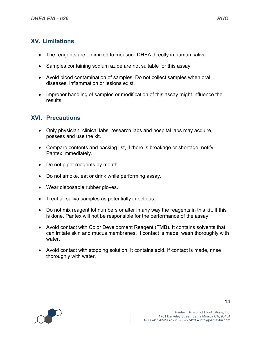# **XV. Limitations**

- The reagents are optimized to measure DHEA directly in human saliva.
- Samples containing sodium azide are not suitable for this assay.
- Avoid blood contamination of samples. Do not collect samples when oral diseases, inflammation or lesions exist.
- Improper handling of samples or modification of this assay might influence the results.

## **XVI. Precautions**

- Only physician, clinical labs, research labs and hospital labs may acquire, possess and use the kit.
- Compare contents and packing list, if there is breakage or shortage, notify Pantex immediately.
- Do not pipet reagents by mouth.
- Do not smoke, eat or drink while performing assay.
- Wear disposable rubber gloves.
- Treat all saliva samples as potentially infectious.
- Do not mix reagent lot numbers or alter in any way the reagents in this kit. If this is done, Pantex will not be responsible for the performance of the assay.
- Avoid contact with Color Development Reagent (TMB). It contains solvents that can irritate skin and mucus membranes. If contact is made, wash thoroughly with water.
- Avoid contact with stopping solution. It contains acid. If contact is made, rinse thoroughly with water.